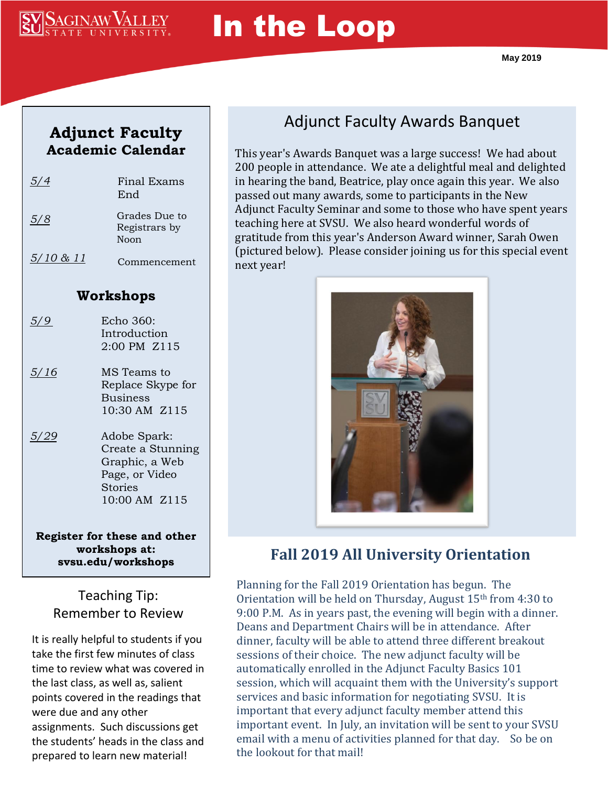

# In the Loop

#### **Adjunct Faculty Academic Calendar**

| 5/4                  | Final Exams<br>End                                                                                |
|----------------------|---------------------------------------------------------------------------------------------------|
| 5/8                  | Grades Due to<br>Registrars by<br>Noon                                                            |
| <u>5/10 &amp; 11</u> | Commencement                                                                                      |
| Workshops            |                                                                                                   |
| $\frac{5}{9}$        | Echo 360:<br>Introduction<br>2:00 PM Z115                                                         |
| 5/16                 | MS Teams to<br>Replace Skype for<br><b>Business</b><br>10:30 AM Z115                              |
| 5/29                 | Adobe Spark:<br>Create a Stunning<br>Graphic, a Web<br>Page, or Video<br>Stories<br>10:00 AM Z115 |

**Register for these and other workshops at: svsu.edu/workshops**

#### Teaching Tip: Remember to Review

It is really helpful to students if you take the first few minutes of class time to review what was covered in the last class, as well as, salient points covered in the readings that were due and any other assignments. Such discussions get the students' heads in the class and prepared to learn new material!

# Adjunct Faculty Awards Banquet

This year's Awards Banquet was a large success! We had about 200 people in attendance. We ate a delightful meal and delighted in hearing the band, Beatrice, play once again this year. We also passed out many awards, some to participants in the New Adjunct Faculty Seminar and some to those who have spent years teaching here at SVSU. We also heard wonderful words of gratitude from this year's Anderson Award winner, Sarah Owen (pictured below). Please consider joining us for this special event next year!



#### **Fall 2019 All University Orientation**

Planning for the Fall 2019 Orientation has begun. The Orientation will be held on Thursday, August 15th from 4:30 to 9:00 P.M. As in years past, the evening will begin with a dinner. Deans and Department Chairs will be in attendance. After dinner, faculty will be able to attend three different breakout sessions of their choice. The new adjunct faculty will be automatically enrolled in the Adjunct Faculty Basics 101 session, which will acquaint them with the University's support services and basic information for negotiating SVSU. It is important that every adjunct faculty member attend this important event. In July, an invitation will be sent to your SVSU email with a menu of activities planned for that day. So be on the lookout for that mail!